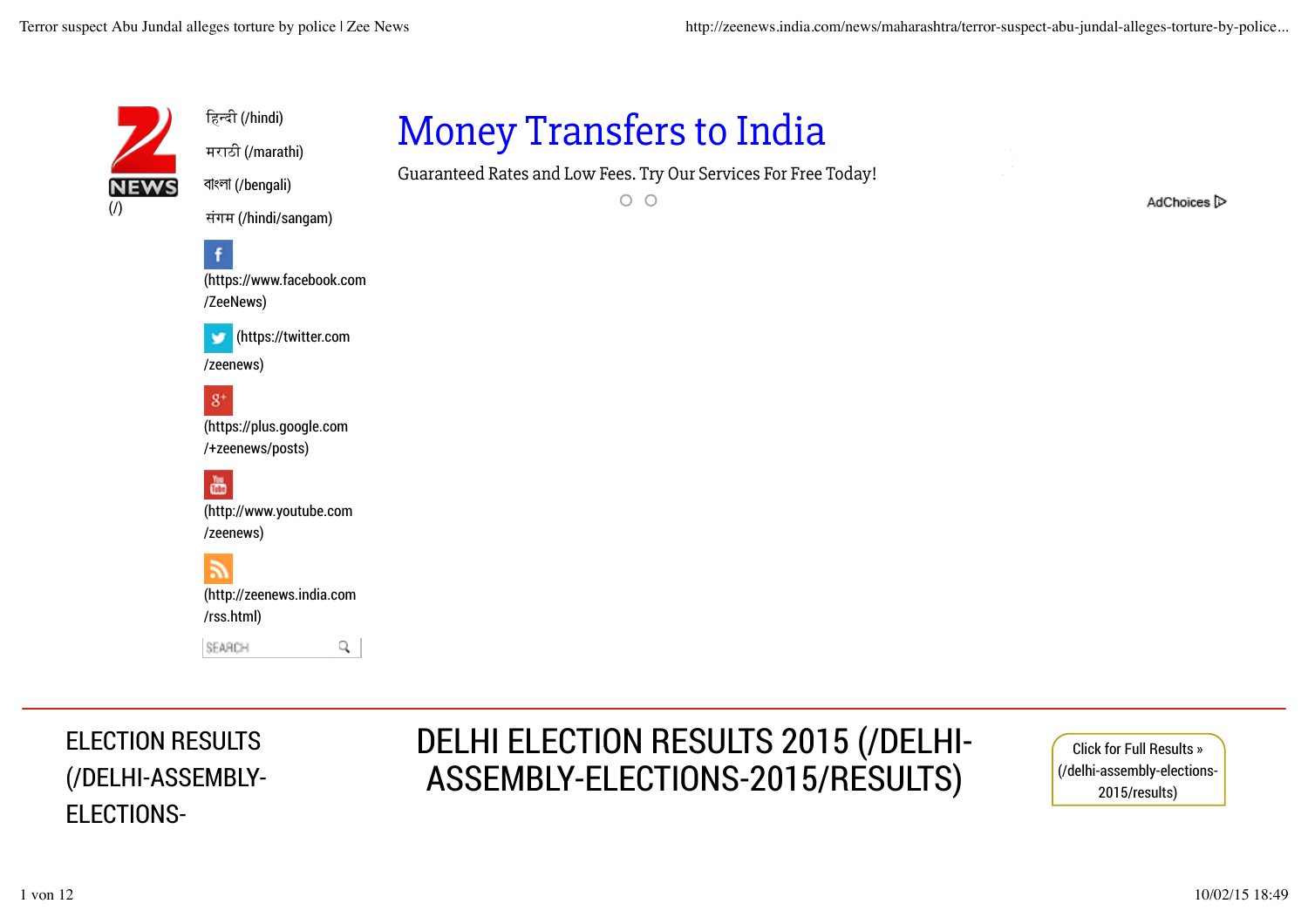

हिन्दी (/hindi)

मराठी (/marathi) বাংলা (/bengali)

## Money Transfers to India

Guaranteed Rates and Low Fees. Try Our Services For Free Today!

 $O$   $O$ 

AdChoices<sup>1</sup>

संगम (/hindi/sangam)

(https://www.facebook.com /ZeeNews)

(https://twitter.com

/zeenews)

f

 $8^+$ (https://plus.google.com /+zeenews/posts)

畵 (http://www.youtube.com /zeenews)

(http://zeenews.india.com /rss.html)

SEARCH

q

ELECTION RESULTS (/DELHI-ASSEMBLY-ELECTIONS-

## DELHI ELECTION RESULTS 2015 (/DELHI-ASSEMBLY-ELECTIONS-2015/RESULTS)

Click for Full Results » (/delhi-assembly-elections-2015/results)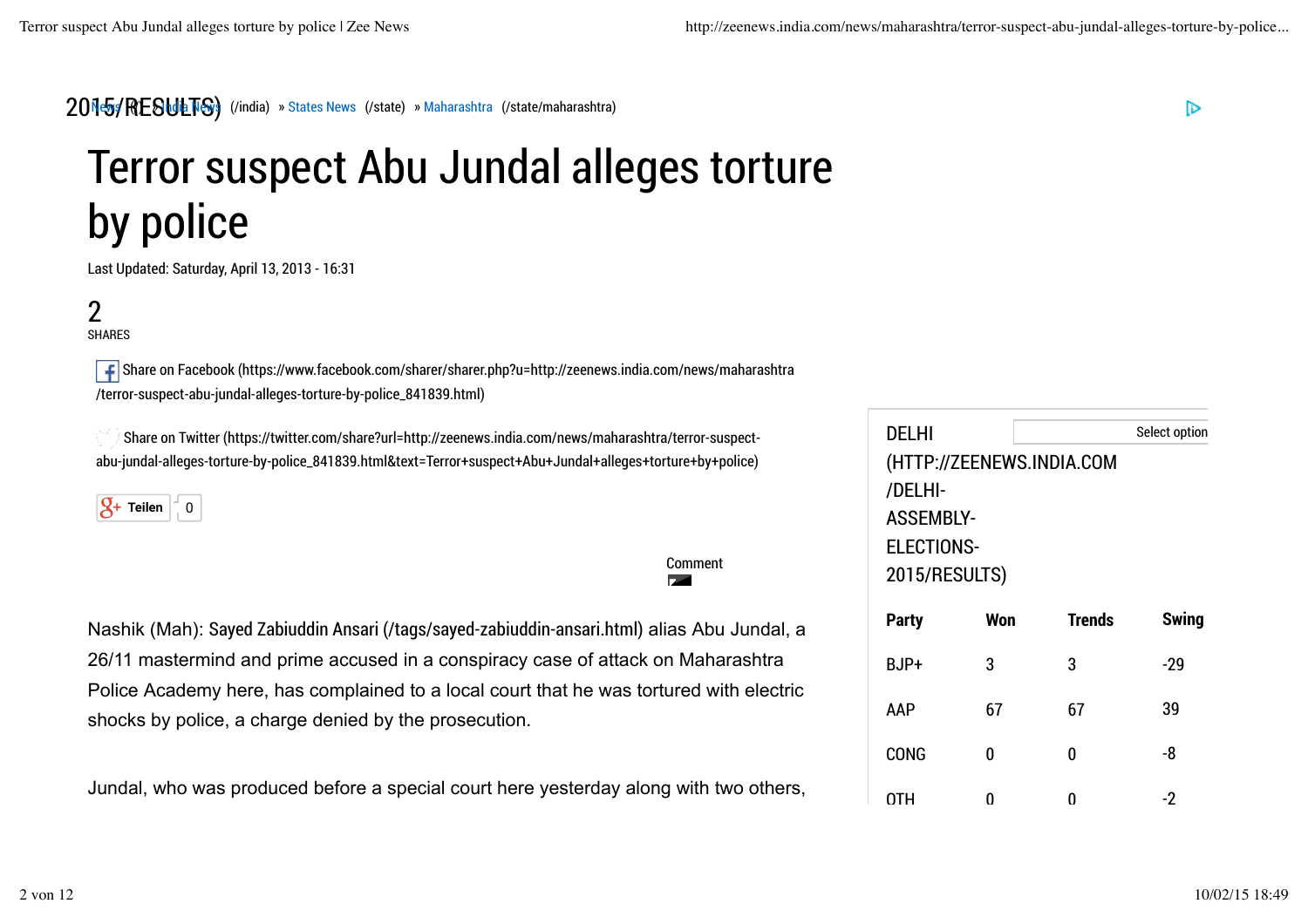### 2015/RESULTS) (/india) » States News (/state) » Maharashtra (/state/maharashtra)

# Terror suspect Abu Jundal alleges torture by police

Last Updated: Saturday, April 13, 2013 - 16:31

### 2

SHARES

 Share on Facebook (https://www.facebook.com/sharer/sharer.php?u=http://zeenews.india.com/news/maharashtra /terror-suspect-abu-jundal-alleges-torture-by-police\_841839.html)

 Share on Twitter (https://twitter.com/share?url=http://zeenews.india.com/news/maharashtra/terror-suspectabu-jundal-alleges-torture-by-police\_841839.html&text=Terror+suspect+Abu+Jundal+alleges+torture+by+police)

 $\mathcal{G}_+$  Teilen  $\begin{bmatrix} 1 & 0 \\ 0 & 0 \end{bmatrix}$ 

Nashik (Mah): Sayed Zabiuddin Ansari (/tags/sayed-zabiuddin-ansari.html) alias Abu Jundal, a 26/11 mastermind and prime accused in a conspiracy case of attack on Maharashtra Police Academy here, has complained to a local court that he was tortured with electric shocks by police, a charge denied by the prosecution.

Comment

**Parties** 

Jundal, who was produced before a special court here yesterday along with two others,

| <b>DELHI</b>              |     |               | Select option |
|---------------------------|-----|---------------|---------------|
| (HTTP://ZEENEWS.INDIA.COM |     |               |               |
| /DELHI-                   |     |               |               |
| <b>ASSEMBLY-</b>          |     |               |               |
| <b>ELECTIONS-</b>         |     |               |               |
| 2015/RESULTS)             |     |               |               |
| <b>Party</b>              | Won | <b>Trends</b> | <b>Swing</b>  |
| BJP+                      | 3   | 3             | -29           |
| AAP                       | 67  | 67            | 39            |
| CONG                      | N   | n             | -8            |
| OTH                       | Ω   | n             | -2            |

চ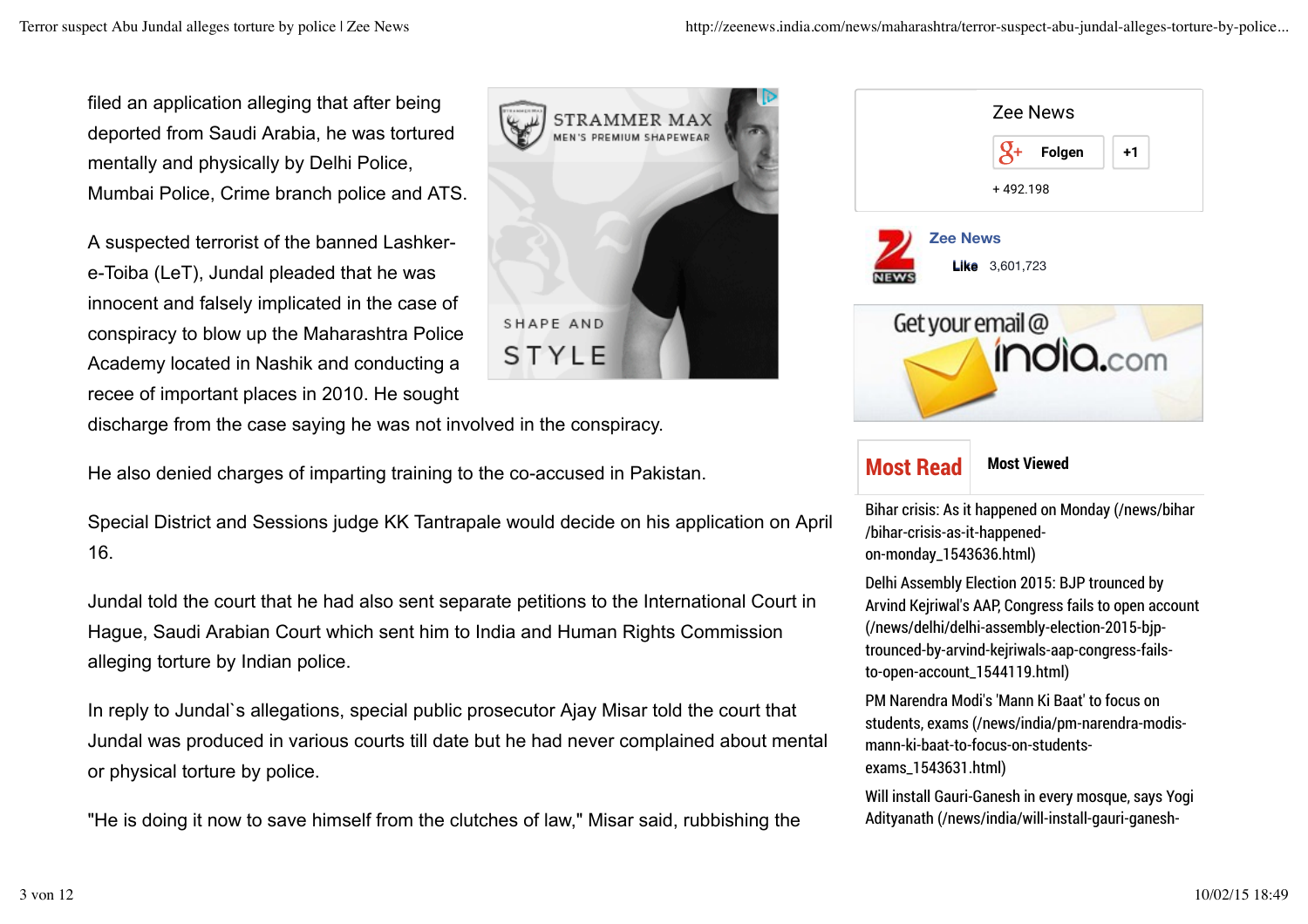filed an application alleging that after being deported from Saudi Arabia, he was tortured mentally and physically by Delhi Police, Mumbai Police, Crime branch police and ATS.

A suspected terrorist of the banned Lashkere-Toiba (LeT), Jundal pleaded that he was innocent and falsely implicated in the case of conspiracy to blow up the Maharashtra Police Academy located in Nashik and conducting a recee of important places in 2010. He sought



discharge from the case saying he was not involved in the conspiracy.

He also denied charges of imparting training to the co-accused in Pakistan.

Special District and Sessions judge KK Tantrapale would decide on his application on April 16.

Jundal told the court that he had also sent separate petitions to the International Court in Hague, Saudi Arabian Court which sent him to India and Human Rights Commission alleging torture by Indian police.

In reply to Jundal`s allegations, special public prosecutor Ajay Misar told the court that Jundal was produced in various courts till date but he had never complained about mental or physical torture by police.

"He is doing it now to save himself from the clutches of law," Misar said, rubbishing the

| <b>Zee News</b><br>$2^+$ Folgen<br>$+1$    |
|--------------------------------------------|
| +492.198                                   |
|                                            |
| <b>Zee News</b><br><b>Like</b> $3,601,723$ |
|                                            |
| Get your email@                            |
| india.com                                  |
|                                            |
|                                            |
| <b>Most Viewed</b><br><b>Most Read</b>     |

Bihar crisis: As it happened on Monday (/news/bihar /bihar-crisis-as-it-happenedon-monday\_1543636.html)

Delhi Assembly Election 2015: BJP trounced by Arvind Kejriwal's AAP, Congress fails to open account (/news/delhi/delhi-assembly-election-2015-bjptrounced-by-arvind-kejriwals-aap-congress-failsto-open-account\_1544119.html)

PM Narendra Modi's 'Mann Ki Baat' to focus on students, exams (/news/india/pm-narendra-modismann-ki-baat-to-focus-on-studentsexams\_1543631.html)

Will install Gauri-Ganesh in every mosque, says Yogi Adityanath (/news/india/will-install-gauri-ganesh